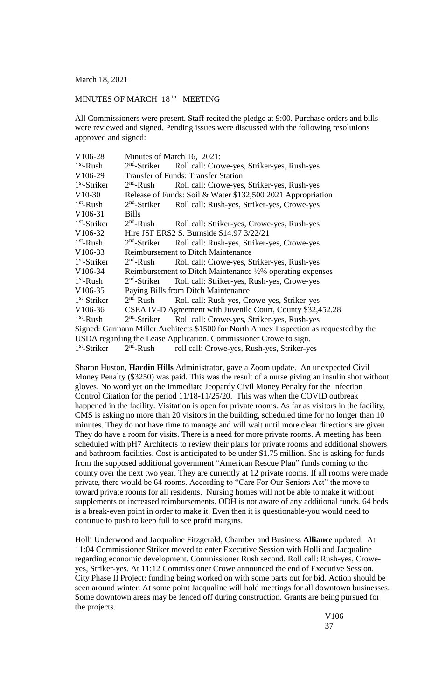March 18, 2021

## MINUTES OF MARCH 18<sup>th</sup> MEETING

All Commissioners were present. Staff recited the pledge at 9:00. Purchase orders and bills were reviewed and signed. Pending issues were discussed with the following resolutions approved and signed:

| V106-28                                                                                 | Minutes of March 16, 2021:                                  |                                             |
|-----------------------------------------------------------------------------------------|-------------------------------------------------------------|---------------------------------------------|
| $1st$ -Rush                                                                             | $2nd$ -Striker                                              | Roll call: Crowe-yes, Striker-yes, Rush-yes |
| V <sub>106</sub> -29                                                                    | <b>Transfer of Funds: Transfer Station</b>                  |                                             |
| $1st$ -Striker                                                                          | $2nd$ -Rush                                                 | Roll call: Crowe-yes, Striker-yes, Rush-yes |
| $V10-30$                                                                                | Release of Funds: Soil & Water \$132,500 2021 Appropriation |                                             |
| $1st$ -Rush                                                                             | $2nd$ -Striker                                              | Roll call: Rush-yes, Striker-yes, Crowe-yes |
| V <sub>106</sub> -31                                                                    | <b>Bills</b>                                                |                                             |
| $1st$ -Striker                                                                          | $2nd$ -Rush                                                 | Roll call: Striker-yes, Crowe-yes, Rush-yes |
| V106-32                                                                                 | Hire JSF ERS2 S. Burnside \$14.97 3/22/21                   |                                             |
| $1st$ -Rush                                                                             | $2nd$ -Striker                                              | Roll call: Rush-yes, Striker-yes, Crowe-yes |
| V106-33                                                                                 | <b>Reimbursement to Ditch Maintenance</b>                   |                                             |
| $1st$ -Striker                                                                          | $2nd$ -Rush                                                 | Roll call: Crowe-yes, Striker-yes, Rush-yes |
| V106-34                                                                                 | Reimbursement to Ditch Maintenance 1/2% operating expenses  |                                             |
| $1st$ -Rush                                                                             | $2nd$ -Striker                                              | Roll call: Striker-yes, Rush-yes, Crowe-yes |
| V106-35                                                                                 | Paying Bills from Ditch Maintenance                         |                                             |
| $1st$ -Striker                                                                          | $2nd$ -Rush                                                 | Roll call: Rush-yes, Crowe-yes, Striker-yes |
| V106-36                                                                                 | CSEA IV-D Agreement with Juvenile Court, County \$32,452.28 |                                             |
| $1st$ -Rush                                                                             | $2nd$ -Striker                                              | Roll call: Crowe-yes, Striker-yes, Rush-yes |
| Signed: Garmann Miller Architects \$1500 for North Annex Inspection as requested by the |                                                             |                                             |
| USDA regarding the Lease Application. Commissioner Crowe to sign.                       |                                                             |                                             |
| $1st$ -Striker                                                                          | $2nd$ -Rush                                                 | roll call: Crowe-yes, Rush-yes, Striker-yes |

Sharon Huston, **Hardin Hills** Administrator, gave a Zoom update. An unexpected Civil Money Penalty (\$3250) was paid. This was the result of a nurse giving an insulin shot without gloves. No word yet on the Immediate Jeopardy Civil Money Penalty for the Infection Control Citation for the period 11/18-11/25/20. This was when the COVID outbreak happened in the facility. Visitation is open for private rooms. As far as visitors in the facility, CMS is asking no more than 20 visitors in the building, scheduled time for no longer than 10 minutes. They do not have time to manage and will wait until more clear directions are given. They do have a room for visits. There is a need for more private rooms. A meeting has been scheduled with pH7 Architects to review their plans for private rooms and additional showers and bathroom facilities. Cost is anticipated to be under \$1.75 million. She is asking for funds from the supposed additional government "American Rescue Plan" funds coming to the county over the next two year. They are currently at 12 private rooms. If all rooms were made private, there would be 64 rooms. According to "Care For Our Seniors Act" the move to toward private rooms for all residents. Nursing homes will not be able to make it without supplements or increased reimbursements. ODH is not aware of any additional funds. 64 beds is a break-even point in order to make it. Even then it is questionable-you would need to continue to push to keep full to see profit margins.

Holli Underwood and Jacqualine Fitzgerald, Chamber and Business **Alliance** updated. At 11:04 Commissioner Striker moved to enter Executive Session with Holli and Jacqualine regarding economic development. Commissioner Rush second. Roll call: Rush-yes, Croweyes, Striker-yes. At 11:12 Commissioner Crowe announced the end of Executive Session. City Phase II Project: funding being worked on with some parts out for bid. Action should be seen around winter. At some point Jacqualine will hold meetings for all downtown businesses. Some downtown areas may be fenced off during construction. Grants are being pursued for the projects.

> V106 37